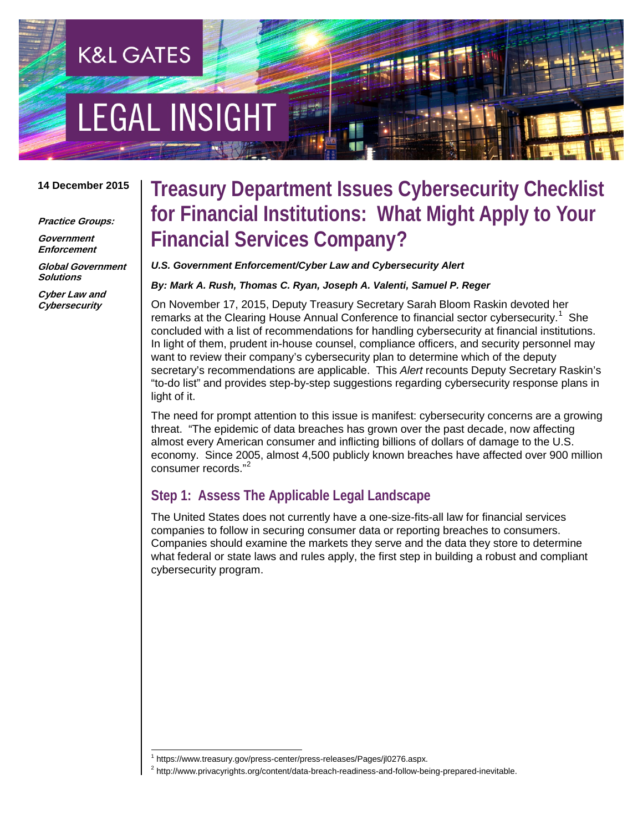# **EGAL INSIGHT**

**K&L GATES** 

#### **14 December 2015**

**Practice Groups:**

**Government Enforcement**

**Global Government Solutions**

**Cyber Law and Cybersecurity**

### **Treasury Department Issues Cybersecurity Checklist for Financial Institutions: What Might Apply to Your Financial Services Company?**

#### *U.S. Government Enforcement/Cyber Law and Cybersecurity Alert*

*By: Mark A. Rush, Thomas C. Ryan, Joseph A. Valenti, Samuel P. Reger*

On November 17, 2015, Deputy Treasury Secretary Sarah Bloom Raskin devoted her remarks at the Clearing House Annual Conference to financial sector cybersecurity.<sup>[1](#page-0-0)</sup> She concluded with a list of recommendations for handling cybersecurity at financial institutions. In light of them, prudent in-house counsel, compliance officers, and security personnel may want to review their company's cybersecurity plan to determine which of the deputy secretary's recommendations are applicable. This *Alert* recounts Deputy Secretary Raskin's "to-do list" and provides step-by-step suggestions regarding cybersecurity response plans in light of it.

The need for prompt attention to this issue is manifest: cybersecurity concerns are a growing threat. "The epidemic of data breaches has grown over the past decade, now affecting almost every American consumer and inflicting billions of dollars of damage to the U.S. economy. Since 2005, almost 4,500 publicly known breaches have affected over 900 million consumer records."[2](#page-0-1)

### **Step 1: Assess The Applicable Legal Landscape**

The United States does not currently have a one-size-fits-all law for financial services companies to follow in securing consumer data or reporting breaches to consumers. Companies should examine the markets they serve and the data they store to determine what federal or state laws and rules apply, the first step in building a robust and compliant cybersecurity program.

 <sup>1</sup> https://www.treasury.gov/press-center/press-releases/Pages/jl0276.aspx.

<span id="page-0-1"></span><span id="page-0-0"></span><sup>&</sup>lt;sup>2</sup> http://www.privacyrights.org/content/data-breach-readiness-and-follow-being-prepared-inevitable.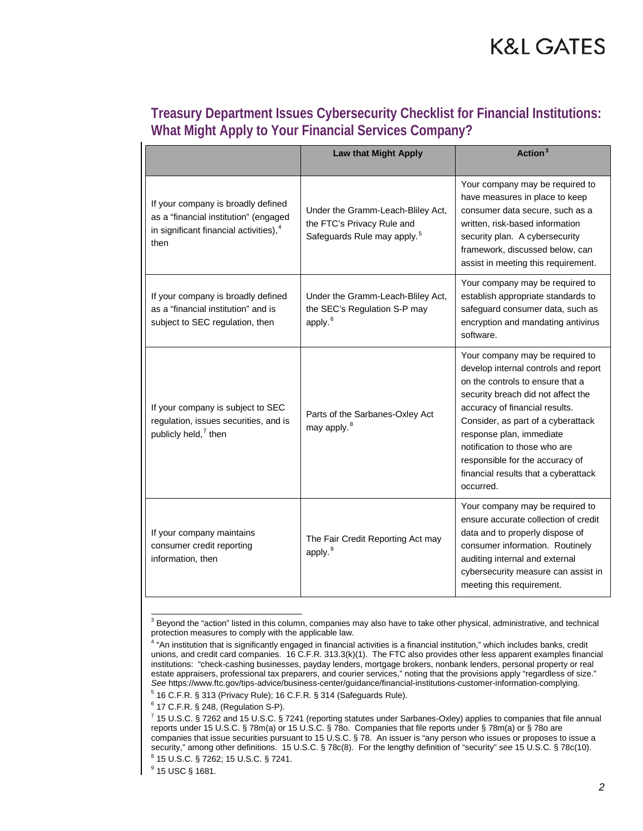| Treasury Department Issues Cybersecurity Checklist for Financial Institutions: |
|--------------------------------------------------------------------------------|
| What Might Apply to Your Financial Services Company?                           |

|                                                                                                                                           | <b>Law that Might Apply</b>                                                                                | Action $3$                                                                                                                                                                                                                                                                                                                                                                     |
|-------------------------------------------------------------------------------------------------------------------------------------------|------------------------------------------------------------------------------------------------------------|--------------------------------------------------------------------------------------------------------------------------------------------------------------------------------------------------------------------------------------------------------------------------------------------------------------------------------------------------------------------------------|
| If your company is broadly defined<br>as a "financial institution" (engaged<br>in significant financial activities), <sup>4</sup><br>then | Under the Gramm-Leach-Bliley Act,<br>the FTC's Privacy Rule and<br>Safeguards Rule may apply. <sup>5</sup> | Your company may be required to<br>have measures in place to keep<br>consumer data secure, such as a<br>written, risk-based information<br>security plan. A cybersecurity<br>framework, discussed below, can<br>assist in meeting this requirement.                                                                                                                            |
| If your company is broadly defined<br>as a "financial institution" and is<br>subject to SEC regulation, then                              | Under the Gramm-Leach-Bliley Act,<br>the SEC's Regulation S-P may<br>apply. <sup>6</sup>                   | Your company may be required to<br>establish appropriate standards to<br>safeguard consumer data, such as<br>encryption and mandating antivirus<br>software.                                                                                                                                                                                                                   |
| If your company is subject to SEC<br>regulation, issues securities, and is<br>publicly held, <sup>7</sup> then                            | Parts of the Sarbanes-Oxley Act<br>may apply. <sup>8</sup>                                                 | Your company may be required to<br>develop internal controls and report<br>on the controls to ensure that a<br>security breach did not affect the<br>accuracy of financial results.<br>Consider, as part of a cyberattack<br>response plan, immediate<br>notification to those who are<br>responsible for the accuracy of<br>financial results that a cyberattack<br>occurred. |
| If your company maintains<br>consumer credit reporting<br>information, then                                                               | The Fair Credit Reporting Act may<br>apply. <sup>9</sup>                                                   | Your company may be required to<br>ensure accurate collection of credit<br>data and to properly dispose of<br>consumer information. Routinely<br>auditing internal and external<br>cybersecurity measure can assist in<br>meeting this requirement.                                                                                                                            |

<span id="page-1-0"></span><sup>&</sup>lt;sup>3</sup> Beyond the "action" listed in this column, companies may also have to take other physical, administrative, and technical protection measures to comply with the applicable law.

<span id="page-1-3"></span><span id="page-1-2"></span><sup>6</sup> 17 C.F.R. § 248, (Regulation S-P).

<span id="page-1-1"></span><sup>4</sup> "An institution that is significantly engaged in financial activities is a financial institution," which includes banks, credit unions, and credit card companies. 16 C.F.R. 313.3(k)(1). The FTC also provides other less apparent examples financial institutions: "check-cashing businesses, payday lenders, mortgage brokers, nonbank lenders, personal property or real estate appraisers, professional tax preparers, and courier services," noting that the provisions apply "regardless of size." *See* https://www.ftc.gov/tips-advice/business-center/guidance/financial-institutions-customer-information-complying.

<sup>5</sup> 16 C.F.R. § 313 (Privacy Rule); 16 C.F.R. § 314 (Safeguards Rule).

<span id="page-1-4"></span><sup>7</sup> 15 U.S.C. § 7262 and 15 U.S.C. § 7241 (reporting statutes under Sarbanes-Oxley) applies to companies that file annual reports under 15 U.S.C. § 78m(a) or 15 U.S.C. § 78o. Companies that file reports under § 78m(a) or § 78o are companies that issue securities pursuant to 15 U.S.C. § 78. An issuer is "any person who issues or proposes to issue a security," among other definitions. 15 U.S.C. § 78c(8). For the lengthy definition of "security" *see* 15 U.S.C. § 78c(10).

<span id="page-1-5"></span><sup>8</sup> 15 U.S.C. § 7262; 15 U.S.C. § 7241.

<span id="page-1-6"></span><sup>9</sup> 15 USC § 1681.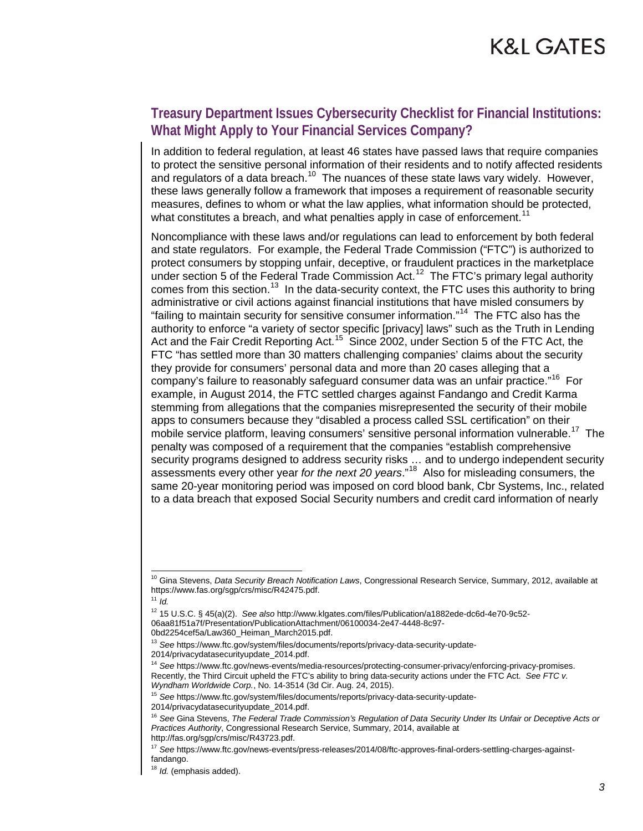### **Treasury Department Issues Cybersecurity Checklist for Financial Institutions: What Might Apply to Your Financial Services Company?**

In addition to federal regulation, at least 46 states have passed laws that require companies to protect the sensitive personal information of their residents and to notify affected residents and regulators of a data breach.<sup>10</sup> The nuances of these state laws vary widely. However, these laws generally follow a framework that imposes a requirement of reasonable security measures, defines to whom or what the law applies, what information should be protected, what constitutes a breach, and what penalties apply in case of enforcement.<sup>[11](#page-2-1)</sup>

Noncompliance with these laws and/or regulations can lead to enforcement by both federal and state regulators. For example, the Federal Trade Commission ("FTC") is authorized to protect consumers by stopping unfair, deceptive, or fraudulent practices in the marketplace under section 5 of the Federal Trade Commission Act.<sup>12</sup> The FTC's primary legal authority comes from this section.<sup>[13](#page-2-3)</sup> In the data-security context, the FTC uses this authority to bring administrative or civil actions against financial institutions that have misled consumers by "failing to maintain security for sensitive consumer information."<sup>14</sup> The FTC also has the authority to enforce "a variety of sector specific [privacy] laws" such as the Truth in Lending Act and the Fair Credit Reporting Act.<sup>15</sup> Since 2002, under Section 5 of the FTC Act, the FTC "has settled more than 30 matters challenging companies' claims about the security they provide for consumers' personal data and more than 20 cases alleging that a company's failure to reasonably safeguard consumer data was an unfair practice."[16](#page-2-6) For example, in August 2014, the FTC settled charges against Fandango and Credit Karma stemming from allegations that the companies misrepresented the security of their mobile apps to consumers because they "disabled a process called SSL certification" on their mobile service platform, leaving consumers' sensitive personal information vulnerable.<sup>17</sup> The penalty was composed of a requirement that the companies "establish comprehensive security programs designed to address security risks … and to undergo independent security assessments every other year *for the next 20 years*."[18](#page-2-8) Also for misleading consumers, the same 20-year monitoring period was imposed on cord blood bank, Cbr Systems, Inc., related to a data breach that exposed Social Security numbers and credit card information of nearly

<span id="page-2-1"></span><sup>11</sup> *Id.*

<span id="page-2-4"></span><span id="page-2-3"></span>2014/privacydatasecurityupdate\_2014.pdf.

<span id="page-2-0"></span><sup>&</sup>lt;sup>10</sup> Gina Stevens, *Data Security Breach Notification Laws*, Congressional Research Service, Summary, 2012, available at https://www.fas.org/sgp/crs/misc/R42475.pdf.

<sup>12</sup> 15 U.S.C. § 45(a)(2). *See also* http://www.klgates.com/files/Publication/a1882ede-dc6d-4e70-9c52- 06aa81f51a7f/Presentation/PublicationAttachment/06100034-2e47-4448-8c97-

<span id="page-2-2"></span><sup>0</sup>bd2254cef5a/Law360\_Heiman\_March2015.pdf.

<sup>13</sup> *See* https://www.ftc.gov/system/files/documents/reports/privacy-data-security-update-

<sup>14</sup> *See* https://www.ftc.gov/news-events/media-resources/protecting-consumer-privacy/enforcing-privacy-promises. Recently, the Third Circuit upheld the FTC's ability to bring data-security actions under the FTC Act. *See FTC v. Wyndham Worldwide Corp.*, No. 14-3514 (3d Cir. Aug. 24, 2015).

<sup>15</sup> *See* https://www.ftc.gov/system/files/documents/reports/privacy-data-security-update-

<span id="page-2-5"></span><sup>2014/</sup>privacydatasecurityupdate\_2014.pdf.

<span id="page-2-6"></span><sup>16</sup> *See* Gina Stevens, *The Federal Trade Commission's Regulation of Data Security Under Its Unfair or Deceptive Acts or Practices Authority*, Congressional Research Service, Summary, 2014, available at http://fas.org/sgp/crs/misc/R43723.pdf.

<span id="page-2-7"></span><sup>17</sup> *See* https://www.ftc.gov/news-events/press-releases/2014/08/ftc-approves-final-orders-settling-charges-againstfandango.

<span id="page-2-8"></span><sup>18</sup> *Id.* (emphasis added).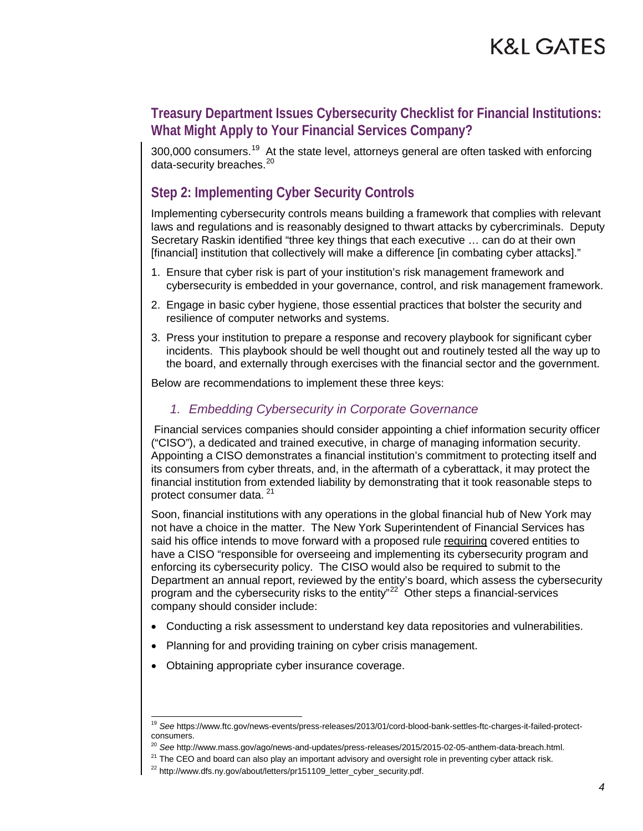### **Treasury Department Issues Cybersecurity Checklist for Financial Institutions: What Might Apply to Your Financial Services Company?**

300,000 consumers.<sup>[19](#page-3-0)</sup> At the state level, attorneys general are often tasked with enforcing data-security breaches.<sup>[20](#page-3-1)</sup>

### **Step 2: Implementing Cyber Security Controls**

Implementing cybersecurity controls means building a framework that complies with relevant laws and regulations and is reasonably designed to thwart attacks by cybercriminals. Deputy Secretary Raskin identified "three key things that each executive … can do at their own [financial] institution that collectively will make a difference [in combating cyber attacks]."

- 1. Ensure that cyber risk is part of your institution's risk management framework and cybersecurity is embedded in your governance, control, and risk management framework.
- 2. Engage in basic cyber hygiene, those essential practices that bolster the security and resilience of computer networks and systems.
- 3. Press your institution to prepare a response and recovery playbook for significant cyber incidents. This playbook should be well thought out and routinely tested all the way up to the board, and externally through exercises with the financial sector and the government.

Below are recommendations to implement these three keys:

#### *1. Embedding Cybersecurity in Corporate Governance*

Financial services companies should consider appointing a chief information security officer ("CISO"), a dedicated and trained executive, in charge of managing information security. Appointing a CISO demonstrates a financial institution's commitment to protecting itself and its consumers from cyber threats, and, in the aftermath of a cyberattack, it may protect the financial institution from extended liability by demonstrating that it took reasonable steps to protect consumer data. [21](#page-3-2)

Soon, financial institutions with any operations in the global financial hub of New York may not have a choice in the matter. The New York Superintendent of Financial Services has said his office intends to move forward with a proposed rule requiring covered entities to have a CISO "responsible for overseeing and implementing its cybersecurity program and enforcing its cybersecurity policy. The CISO would also be required to submit to the Department an annual report, reviewed by the entity's board, which assess the cybersecurity program and the cybersecurity risks to the entity"<sup>[22](#page-3-3)</sup> Other steps a financial-services company should consider include:

- Conducting a risk assessment to understand key data repositories and vulnerabilities.
- Planning for and providing training on cyber crisis management.
- Obtaining appropriate cyber insurance coverage.

<span id="page-3-0"></span> <sup>19</sup> *See* https://www.ftc.gov/news-events/press-releases/2013/01/cord-blood-bank-settles-ftc-charges-it-failed-protectconsumers.

<sup>20</sup> *See* http://www.mass.gov/ago/news-and-updates/press-releases/2015/2015-02-05-anthem-data-breach.html.

<span id="page-3-3"></span><span id="page-3-2"></span><span id="page-3-1"></span><sup>&</sup>lt;sup>21</sup> The CEO and board can also play an important advisory and oversight role in preventing cyber attack risk.<br><sup>22</sup> http://www.dfs.ny.gov/about/letters/pr151109\_letter\_cyber\_security.pdf.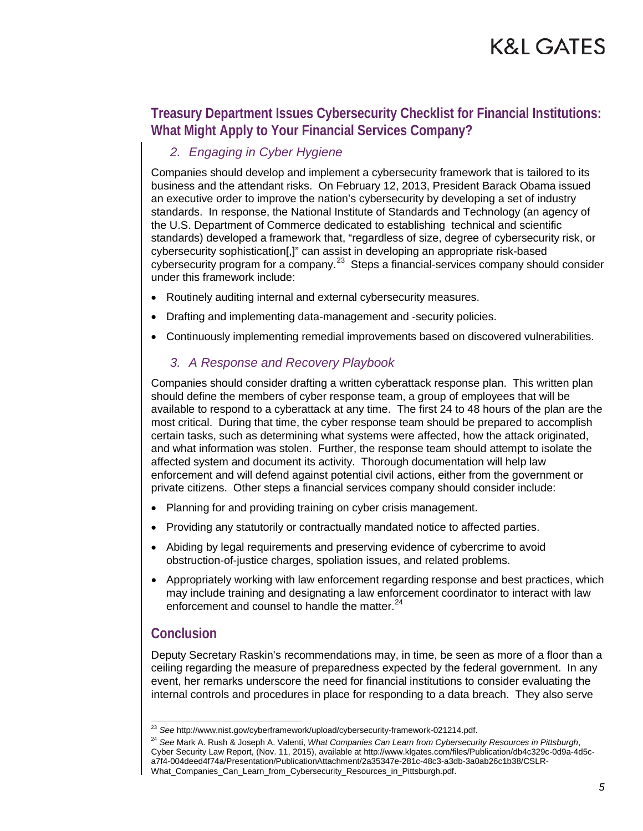### **Treasury Department Issues Cybersecurity Checklist for Financial Institutions: What Might Apply to Your Financial Services Company?**

#### *2. Engaging in Cyber Hygiene*

Companies should develop and implement a cybersecurity framework that is tailored to its business and the attendant risks. On February 12, 2013, President Barack Obama issued an executive order to improve the nation's cybersecurity by developing a set of industry standards. In response, the National Institute of Standards and Technology (an agency of the U.S. Department of Commerce dedicated to establishing technical and scientific standards) developed a framework that, "regardless of size, degree of cybersecurity risk, or cybersecurity sophistication[,]" can assist in developing an appropriate risk-based cybersecurity program for a company.<sup>[23](#page-4-0)</sup> Steps a financial-services company should consider under this framework include:

- Routinely auditing internal and external cybersecurity measures.
- Drafting and implementing data-management and -security policies.
- Continuously implementing remedial improvements based on discovered vulnerabilities.

#### *3. A Response and Recovery Playbook*

Companies should consider drafting a written cyberattack response plan. This written plan should define the members of cyber response team, a group of employees that will be available to respond to a cyberattack at any time. The first 24 to 48 hours of the plan are the most critical. During that time, the cyber response team should be prepared to accomplish certain tasks, such as determining what systems were affected, how the attack originated, and what information was stolen. Further, the response team should attempt to isolate the affected system and document its activity. Thorough documentation will help law enforcement and will defend against potential civil actions, either from the government or private citizens. Other steps a financial services company should consider include:

- Planning for and providing training on cyber crisis management.
- Providing any statutorily or contractually mandated notice to affected parties.
- Abiding by legal requirements and preserving evidence of cybercrime to avoid obstruction-of-justice charges, spoliation issues, and related problems.
- Appropriately working with law enforcement regarding response and best practices, which may include training and designating a law enforcement coordinator to interact with law enforcement and counsel to handle the matter.<sup>[24](#page-4-1)</sup>

#### **Conclusion**

Deputy Secretary Raskin's recommendations may, in time, be seen as more of a floor than a ceiling regarding the measure of preparedness expected by the federal government. In any event, her remarks underscore the need for financial institutions to consider evaluating the internal controls and procedures in place for responding to a data breach. They also serve

 <sup>23</sup> *See* http://www.nist.gov/cyberframework/upload/cybersecurity-framework-021214.pdf.

<span id="page-4-1"></span><span id="page-4-0"></span><sup>24</sup> *See* Mark A. Rush & Joseph A. Valenti, *What Companies Can Learn from Cybersecurity Resources in Pittsburgh*, Cyber Security Law Report, (Nov. 11, 2015), available at http://www.klgates.com/files/Publication/db4c329c-0d9a-4d5ca7f4-004deed4f74a/Presentation/PublicationAttachment/2a35347e-281c-48c3-a3db-3a0ab26c1b38/CSLR-What\_Companies\_Can\_Learn\_from\_Cybersecurity\_Resources\_in\_Pittsburgh.pdf.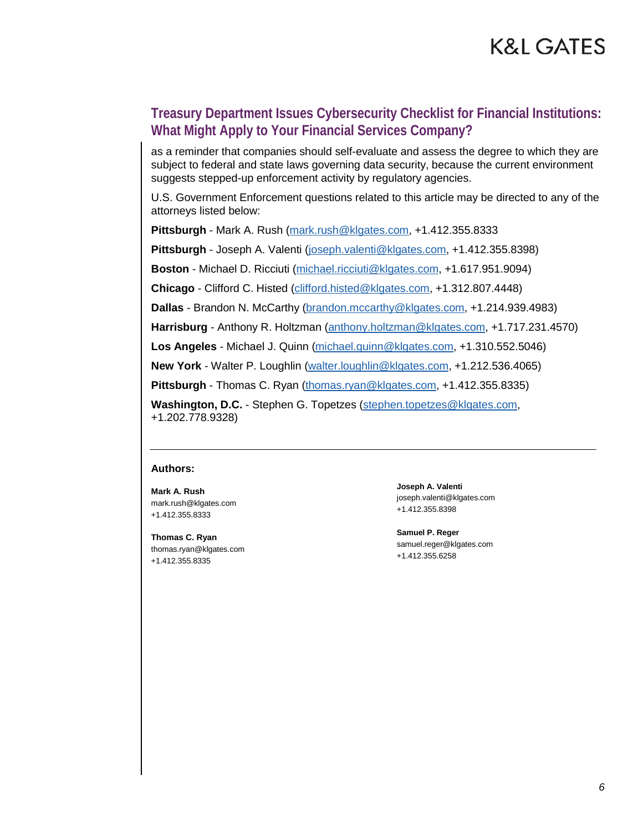#### **Treasury Department Issues Cybersecurity Checklist for Financial Institutions: What Might Apply to Your Financial Services Company?**

as a reminder that companies should self-evaluate and assess the degree to which they are subject to federal and state laws governing data security, because the current environment suggests stepped-up enforcement activity by regulatory agencies.

U.S. Government Enforcement questions related to this article may be directed to any of the attorneys listed below:

**Pittsburgh** - Mark A. Rush [\(mark.rush@klgates.com,](mailto:mark.rush@klgates.com) +1.412.355.8333

**Pittsburgh** - Joseph A. Valenti [\(joseph.valenti@klgates.com,](mailto:joseph.valenti@klgates.com) +1.412.355.8398)

**Boston** - Michael D. Ricciuti [\(michael.ricciuti@klgates.com,](mailto:michael.ricciuti@klgates.com) +1.617.951.9094)

**Chicago** - Clifford C. Histed [\(clifford.histed@klgates.com,](mailto:clifford.histed@klgates.com) +1.312.807.4448)

**Dallas** - Brandon N. McCarthy [\(brandon.mccarthy@klgates.com,](mailto:brandon.mccarthy@klgates.com) +1.214.939.4983)

**Harrisburg** - Anthony R. Holtzman [\(anthony.holtzman@klgates.com,](mailto:anthony.holtzman@klgates.com) +1.717.231.4570)

**Los Angeles** - Michael J. Quinn [\(michael.quinn@klgates.com,](mailto:michael.quinn@klgates.com) +1.310.552.5046)

**New York** - Walter P. Loughlin [\(walter.loughlin@klgates.com,](mailto:walter.loughlin@klgates.com) +1.212.536.4065)

**Pittsburgh** - Thomas C. Ryan [\(thomas.ryan@klgates.com,](mailto:thomas.ryan@klgates.com) +1.412.355.8335)

**Washington, D.C.** - Stephen G. Topetzes [\(stephen.topetzes@klgates.com,](mailto:stephen.topetzes@klgates.com) +1.202.778.9328)

#### **Authors:**

**Mark A. Rush** mark.rush@klgates.com +1.412.355.8333

**Thomas C. Ryan** thomas.ryan@klgates.com +1.412.355.8335

**Joseph A. Valenti** joseph.valenti@klgates.com +1.412.355.8398

**Samuel P. Reger** samuel.reger@klgates.com +1.412.355.6258